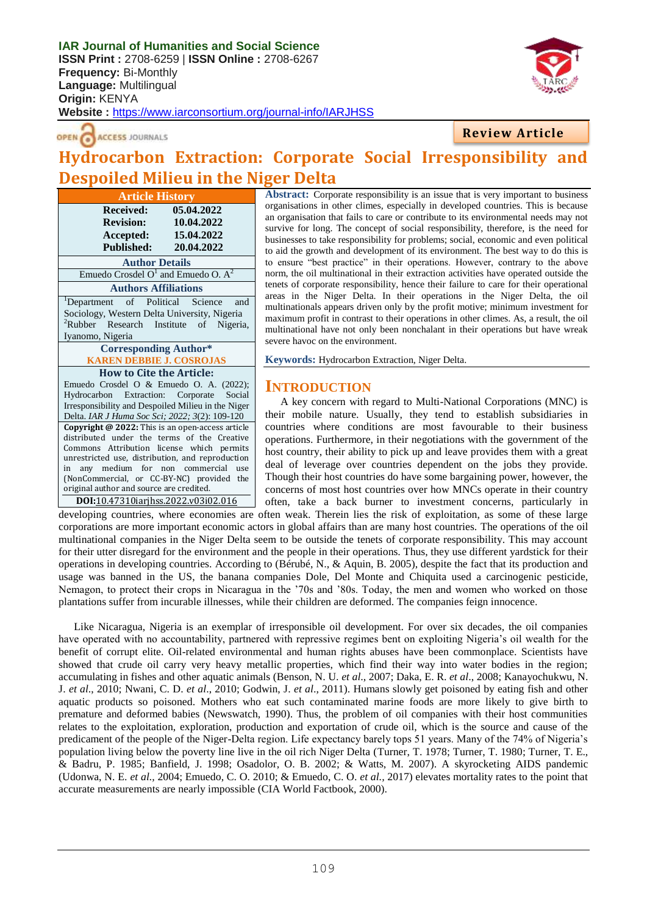**IAR Journal of Humanities and Social Science ISSN Print :** 2708-6259 | **ISSN Online :** 2708-6267 **Frequency:** Bi-Monthly **Language:** Multilingual **Origin:** KENYA **Website :** <https://www.iarconsortium.org/journal-info/IARJHSS>



#### **ACCESS JOURNALS** OPEN O

## **Review Article**

# **Hydrocarbon Extraction: Corporate Social Irresponsibility and Despoiled Milieu in the Niger Delta**

**Article History Received: 05.04.2022 Revision: 10.04.2022 Accepted: 15.04.2022 Published: 20.04.2022 Author Details** Emuedo Crosdel  $O<sup>1</sup>$  and Emuedo O.  $A<sup>2</sup>$ **Authors Affiliations** <sup>1</sup>Department of Political Science and Sociology, Western Delta University, Nigeria  ${}^{2}$ Rubber Research Institute of Nigeria, Iyanomo, Nigeria **Corresponding Author\* KAREN DEBBIE J. COSROJAS How to Cite the Article:** Emuedo Crosdel O & Emuedo O. A. (2022); Hydrocarbon Extraction: Corporate Social Irresponsibility and Despoiled Milieu in the Niger Delta. *IAR J Huma Soc Sci; 2022; 3*(2): 109-120 **Copyright @ 2022:** This is an open-access article distributed under the terms of the Creative Commons Attribution license which permits unrestricted use, distribution, and reproduction in any medium for non commercial use (NonCommercial, or CC-BY-NC) provided the original author and source are credited. **DOI:**10.47310iarjhss.2022.v03i02.016

**Abstract:** Corporate responsibility is an issue that is very important to business organisations in other climes, especially in developed countries. This is because an organisation that fails to care or contribute to its environmental needs may not survive for long. The concept of social responsibility, therefore, is the need for businesses to take responsibility for problems; social, economic and even political to aid the growth and development of its environment. The best way to do this is to ensure "best practice" in their operations. However, contrary to the above norm, the oil multinational in their extraction activities have operated outside the tenets of corporate responsibility, hence their failure to care for their operational areas in the Niger Delta. In their operations in the Niger Delta, the oil multinationals appears driven only by the profit motive; minimum investment for maximum profit in contrast to their operations in other climes. As, a result, the oil multinational have not only been nonchalant in their operations but have wreak severe havoc on the environment.

**Keywords:** Hydrocarbon Extraction, Niger Delta.

#### **INTRODUCTION**

A key concern with regard to Multi-National Corporations (MNC) is their mobile nature. Usually, they tend to establish subsidiaries in countries where conditions are most favourable to their business operations. Furthermore, in their negotiations with the government of the host country, their ability to pick up and leave provides them with a great deal of leverage over countries dependent on the jobs they provide. Though their host countries do have some bargaining power, however, the concerns of most host countries over how MNCs operate in their country often, take a back burner to investment concerns, particularly in

developing countries, where economies are often weak. Therein lies the risk of exploitation, as some of these large corporations are more important economic actors in global affairs than are many host countries. The operations of the oil multinational companies in the Niger Delta seem to be outside the tenets of corporate responsibility. This may account for their utter disregard for the environment and the people in their operations. Thus, they use different yardstick for their operations in developing countries. According to (Bérubé, N., & Aquin, B. 2005), despite the fact that its production and usage was banned in the US, the banana companies Dole, Del Monte and Chiquita used a carcinogenic pesticide, Nemagon, to protect their crops in Nicaragua in the "70s and "80s. Today, the men and women who worked on those plantations suffer from incurable illnesses, while their children are deformed. The companies feign innocence.

Like Nicaragua, Nigeria is an exemplar of irresponsible oil development. For over six decades, the oil companies have operated with no accountability, partnered with repressive regimes bent on exploiting Nigeria"s oil wealth for the benefit of corrupt elite. Oil-related environmental and human rights abuses have been commonplace. Scientists have showed that crude oil carry very heavy metallic properties, which find their way into water bodies in the region; accumulating in fishes and other aquatic animals (Benson, N. U. *et al*., 2007; Daka, E. R. *et al*., 2008; Kanayochukwu, N. J. *et al*., 2010; Nwani, C. D. *et al*., 2010; Godwin, J. *et al*., 2011). Humans slowly get poisoned by eating fish and other aquatic products so poisoned. Mothers who eat such contaminated marine foods are more likely to give birth to premature and deformed babies (Newswatch, 1990). Thus, the problem of oil companies with their host communities relates to the exploitation, exploration, production and exportation of crude oil, which is the source and cause of the predicament of the people of the Niger-Delta region. Life expectancy barely tops 51 years. Many of the 74% of Nigeria"s population living below the poverty line live in the oil rich Niger Delta (Turner, T. 1978; Turner, T. 1980; Turner, T. E., & Badru, P. 1985; Banfield, J. 1998; Osadolor, O. B. 2002; & Watts, M. 2007). A skyrocketing AIDS pandemic (Udonwa, N. E. *et al.,* 2004; Emuedo, C. O. 2010; & Emuedo, C. O. *et al.,* 2017) elevates mortality rates to the point that accurate measurements are nearly impossible (CIA World Factbook, 2000).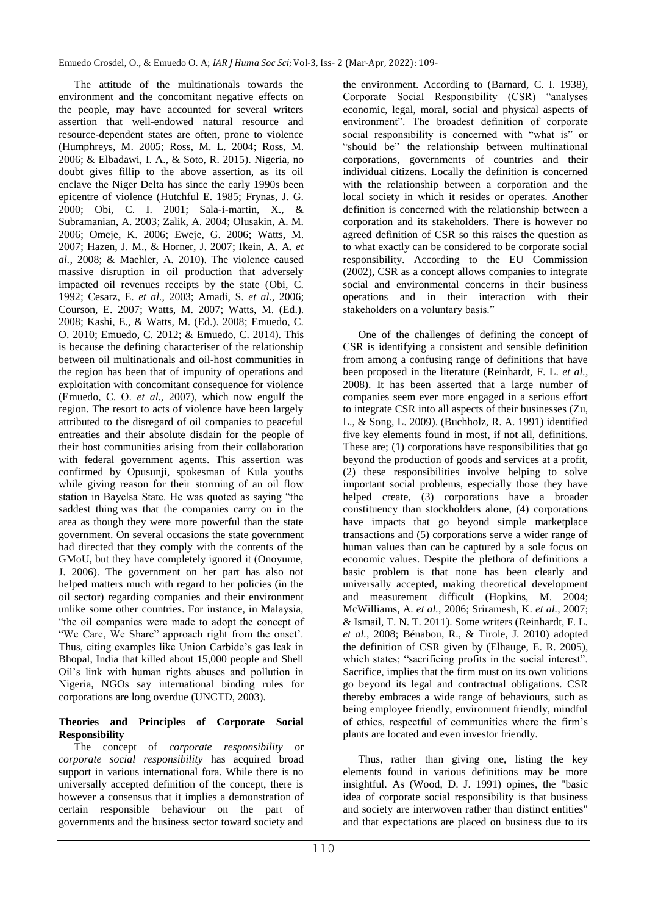The attitude of the multinationals towards the environment and the concomitant negative effects on the people, may have accounted for several writers assertion that well-endowed natural resource and resource-dependent states are often, prone to violence (Humphreys, M. 2005; Ross, M. L. 2004; Ross, M. 2006; & Elbadawi, I. A., & Soto, R. 2015). Nigeria, no doubt gives fillip to the above assertion, as its oil enclave the Niger Delta has since the early 1990s been epicentre of violence (Hutchful E. 1985; Frynas, J. G. 2000; Obi, C. I. 2001; Sala-i-martin, X., & Subramanian, A. 2003; Zalik, A. 2004; Olusakin, A. M. 2006; Omeje, K. 2006; Eweje, G. 2006; Watts, M. 2007; Hazen, J. M., & Horner, J. 2007; Ikein, A. A. *et al.,* 2008; & Maehler, A. 2010). The violence caused massive disruption in oil production that adversely impacted oil revenues receipts by the state (Obi, C. 1992; Cesarz, E. *et al.,* 2003; Amadi, S. *et al.,* 2006; Courson, E. 2007; Watts, M. 2007; Watts, M. (Ed.). 2008; Kashi, E., & Watts, M. (Ed.). 2008; Emuedo, C. O. 2010; Emuedo, C. 2012; & Emuedo, C. 2014). This is because the defining characteriser of the relationship between oil multinationals and oil-host communities in the region has been that of impunity of operations and exploitation with concomitant consequence for violence (Emuedo, C. O. *et al.,* 2007), which now engulf the region. The resort to acts of violence have been largely attributed to the disregard of oil companies to peaceful entreaties and their absolute disdain for the people of their host communities arising from their collaboration with federal government agents. This assertion was confirmed by Opusunji, spokesman of Kula youths while giving reason for their storming of an oil flow station in Bayelsa State. He was quoted as saying "the saddest thing was that the companies carry on in the area as though they were more powerful than the state government. On several occasions the state government had directed that they comply with the contents of the GMoU, but they have completely ignored it (Onoyume, J. 2006). The government on her part has also not helped matters much with regard to her policies (in the oil sector) regarding companies and their environment unlike some other countries. For instance, in Malaysia, "the oil companies were made to adopt the concept of "We Care, We Share" approach right from the onset'. Thus, citing examples like Union Carbide"s gas leak in Bhopal, India that killed about 15,000 people and Shell Oil"s link with human rights abuses and pollution in Nigeria, NGOs say international binding rules for corporations are long overdue (UNCTD, 2003).

#### **Theories and Principles of Corporate Social Responsibility**

The concept of *corporate responsibility* or *corporate social responsibility* has acquired broad support in various international fora. While there is no universally accepted definition of the concept, there is however a consensus that it implies a demonstration of certain responsible behaviour on the part of governments and the business sector toward society and the environment. According to (Barnard, C. I. 1938), Corporate Social Responsibility (CSR) "analyses economic, legal, moral, social and physical aspects of environment". The broadest definition of corporate social responsibility is concerned with "what is" or "should be" the relationship between multinational corporations, governments of countries and their individual citizens. Locally the definition is concerned with the relationship between a corporation and the local society in which it resides or operates. Another definition is concerned with the relationship between a corporation and its stakeholders. There is however no agreed definition of CSR so this raises the question as to what exactly can be considered to be corporate social responsibility. According to the EU Commission (2002), CSR as a concept allows companies to integrate social and environmental concerns in their business operations and in their interaction with their stakeholders on a voluntary basis."

One of the challenges of defining the concept of CSR is identifying a consistent and sensible definition from among a confusing range of definitions that have been proposed in the literature (Reinhardt, F. L. *et al.,* 2008). It has been asserted that a large number of companies seem ever more engaged in a serious effort to integrate CSR into all aspects of their businesses (Zu, L., & Song, L. 2009). (Buchholz, R. A. 1991) identified five key elements found in most, if not all, definitions. These are; (1) corporations have responsibilities that go beyond the production of goods and services at a profit, (2) these responsibilities involve helping to solve important social problems, especially those they have helped create, (3) corporations have a broader constituency than stockholders alone, (4) corporations have impacts that go beyond simple marketplace transactions and (5) corporations serve a wider range of human values than can be captured by a sole focus on economic values. Despite the plethora of definitions a basic problem is that none has been clearly and universally accepted, making theoretical development and measurement difficult (Hopkins, M. 2004; McWilliams, A. *et al.,* 2006; Sriramesh, K. *et al.,* 2007; & Ismail, T. N. T. 2011). Some writers (Reinhardt, F. L. *et al.,* 2008; Bénabou, R., & Tirole, J. 2010) adopted the definition of CSR given by (Elhauge, E. R. 2005), which states; "sacrificing profits in the social interest". Sacrifice, implies that the firm must on its own volitions go beyond its legal and contractual obligations. CSR thereby embraces a wide range of behaviours, such as being employee friendly, environment friendly, mindful of ethics, respectful of communities where the firm"s plants are located and even investor friendly.

Thus, rather than giving one, listing the key elements found in various definitions may be more insightful. As (Wood, D. J. 1991) opines, the "basic idea of corporate social responsibility is that business and society are interwoven rather than distinct entities" and that expectations are placed on business due to its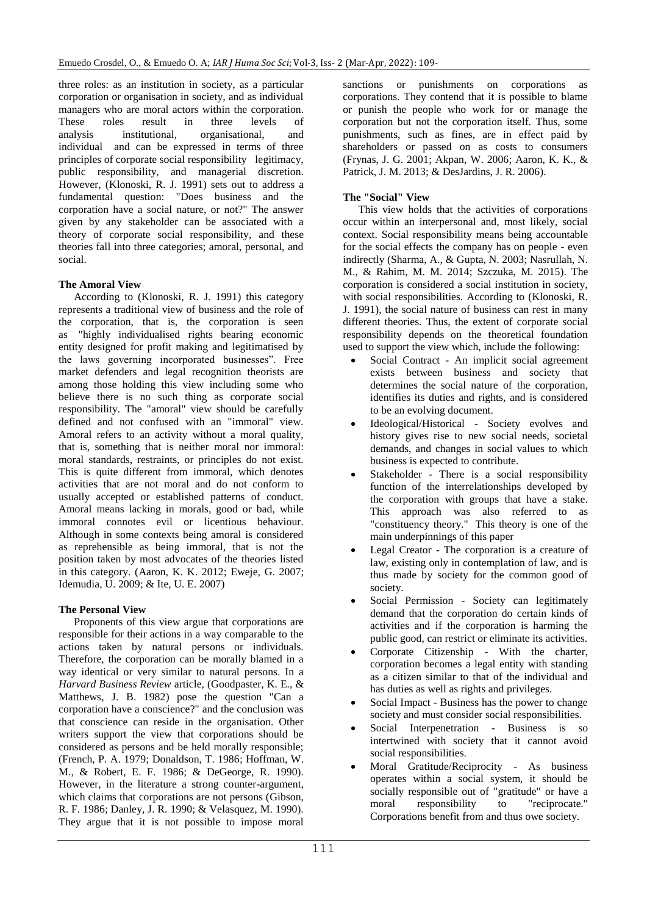three roles: as an institution in society, as a particular corporation or organisation in society, and as individual managers who are moral actors within the corporation. These roles result in three levels of analysis institutional, organisational, and individual and can be expressed in terms of three principles of corporate social responsibility legitimacy, public responsibility, and managerial discretion. However, (Klonoski, R. J. 1991) sets out to address a fundamental question: "Does business and the corporation have a social nature, or not?" The answer given by any stakeholder can be associated with a theory of corporate social responsibility, and these theories fall into three categories; amoral, personal, and social.

#### **The Amoral View**

According to (Klonoski, R. J. 1991) this category represents a traditional view of business and the role of the corporation, that is, the corporation is seen as "highly individualised rights bearing economic entity designed for profit making and legitimatised by the laws governing incorporated businesses". Free market defenders and legal recognition theorists are among those holding this view including some who believe there is no such thing as corporate social responsibility. The "amoral" view should be carefully defined and not confused with an "immoral" view. Amoral refers to an activity without a moral quality, that is, something that is neither moral nor immoral: moral standards, restraints, or principles do not exist. This is quite different from immoral, which denotes activities that are not moral and do not conform to usually accepted or established patterns of conduct. Amoral means lacking in morals, good or bad, while immoral connotes evil or licentious behaviour. Although in some contexts being amoral is considered as reprehensible as being immoral, that is not the position taken by most advocates of the theories listed in this category. (Aaron, K. K. 2012; Eweje, G. 2007; Idemudia, U. 2009; & Ite, U. E. 2007)

#### **The Personal View**

Proponents of this view argue that corporations are responsible for their actions in a way comparable to the actions taken by natural persons or individuals. Therefore, the corporation can be morally blamed in a way identical or very similar to natural persons. In a *Harvard Business Review* article, (Goodpaster, K. E., & Matthews, J. B. 1982) pose the question "Can a corporation have a conscience?" and the conclusion was that conscience can reside in the organisation. Other writers support the view that corporations should be considered as persons and be held morally responsible; (French, P. A. 1979; Donaldson, T. 1986; Hoffman, W. M., & Robert, E. F. 1986; & DeGeorge, R. 1990). However, in the literature a strong counter-argument, which claims that corporations are not persons (Gibson, R. F. 1986; Danley, J. R. 1990; & Velasquez, M. 1990). They argue that it is not possible to impose moral

sanctions or punishments on corporations as corporations. They contend that it is possible to blame or punish the people who work for or manage the corporation but not the corporation itself. Thus, some punishments, such as fines, are in effect paid by shareholders or passed on as costs to consumers (Frynas, J. G. 2001; Akpan, W. 2006; Aaron, K. K., & Patrick, J. M. 2013; & DesJardins, J. R. 2006).

#### **The "Social" View**

This view holds that the activities of corporations occur within an interpersonal and, most likely, social context. Social responsibility means being accountable for the social effects the company has on people - even indirectly (Sharma, A., & Gupta, N. 2003; Nasrullah, N. M., & Rahim, M. M. 2014; Szczuka, M. 2015). The corporation is considered a social institution in society, with social responsibilities. According to (Klonoski, R. J. 1991), the social nature of business can rest in many different theories. Thus, the extent of corporate social responsibility depends on the theoretical foundation used to support the view which, include the following:

- Social Contract An implicit social agreement exists between business and society that determines the social nature of the corporation, identifies its duties and rights, and is considered to be an evolving document.
- Ideological/Historical Society evolves and history gives rise to new social needs, societal demands, and changes in social values to which business is expected to contribute.
- Stakeholder There is a social responsibility function of the interrelationships developed by the corporation with groups that have a stake. This approach was also referred to as "constituency theory." This theory is one of the main underpinnings of this paper
- Legal Creator The corporation is a creature of law, existing only in contemplation of law, and is thus made by society for the common good of society.
- Social Permission Society can legitimately demand that the corporation do certain kinds of activities and if the corporation is harming the public good, can restrict or eliminate its activities.
- Corporate Citizenship With the charter, corporation becomes a legal entity with standing as a citizen similar to that of the individual and has duties as well as rights and privileges.
- Social Impact Business has the power to change society and must consider social responsibilities.
- Social Interpenetration Business is so intertwined with society that it cannot avoid social responsibilities.
- Moral Gratitude/Reciprocity As business operates within a social system, it should be socially responsible out of "gratitude" or have a moral responsibility to "reciprocate." Corporations benefit from and thus owe society.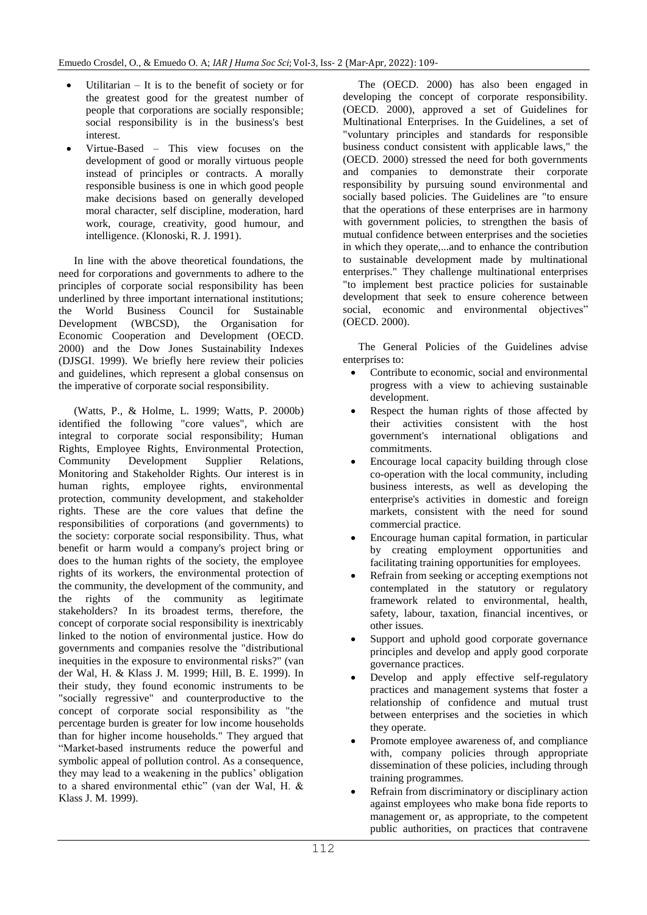- Utilitarian It is to the benefit of society or for the greatest good for the greatest number of people that corporations are socially responsible; social responsibility is in the business's best interest.
- Virtue-Based This view focuses on the development of good or morally virtuous people instead of principles or contracts. A morally responsible business is one in which good people make decisions based on generally developed moral character, self discipline, moderation, hard work, courage, creativity, good humour, and intelligence. (Klonoski, R. J. 1991).

In line with the above theoretical foundations, the need for corporations and governments to adhere to the principles of corporate social responsibility has been underlined by three important international institutions; the World Business Council for Sustainable Development (WBCSD), the Organisation for Economic Cooperation and Development (OECD. 2000) and the Dow Jones Sustainability Indexes (DJSGI. 1999). We briefly here review their policies and guidelines, which represent a global consensus on the imperative of corporate social responsibility.

(Watts, P., & Holme, L. 1999; Watts, P. 2000b) identified the following "core values", which are integral to corporate social responsibility; Human Rights, Employee Rights, Environmental Protection, Community Development Supplier Relations, Monitoring and Stakeholder Rights. Our interest is in human rights, employee rights, environmental protection, community development, and stakeholder rights. These are the core values that define the responsibilities of corporations (and governments) to the society: corporate social responsibility. Thus, what benefit or harm would a company's project bring or does to the human rights of the society, the employee rights of its workers, the environmental protection of the community, the development of the community, and the rights of the community as legitimate stakeholders? In its broadest terms, therefore, the concept of corporate social responsibility is inextricably linked to the notion of environmental justice. How do governments and companies resolve the "distributional inequities in the exposure to environmental risks?" (van der Wal, H. & Klass J. M. 1999; Hill, B. E. 1999). In their study, they found economic instruments to be "socially regressive" and counterproductive to the concept of corporate social responsibility as "the percentage burden is greater for low income households than for higher income households." They argued that "Market-based instruments reduce the powerful and symbolic appeal of pollution control. As a consequence, they may lead to a weakening in the publics" obligation to a shared environmental ethic" (van der Wal, H. & Klass J. M. 1999).

The (OECD. 2000) has also been engaged in developing the concept of corporate responsibility. (OECD. 2000), approved a set of Guidelines for Multinational Enterprises. In the Guidelines, a set of "voluntary principles and standards for responsible business conduct consistent with applicable laws," the (OECD. 2000) stressed the need for both governments and companies to demonstrate their corporate responsibility by pursuing sound environmental and socially based policies. The Guidelines are "to ensure that the operations of these enterprises are in harmony with government policies, to strengthen the basis of mutual confidence between enterprises and the societies in which they operate,...and to enhance the contribution to sustainable development made by multinational enterprises." They challenge multinational enterprises "to implement best practice policies for sustainable development that seek to ensure coherence between social, economic and environmental objectives" (OECD. 2000).

The General Policies of the Guidelines advise enterprises to:

- Contribute to economic, social and environmental progress with a view to achieving sustainable development.
- Respect the human rights of those affected by their activities consistent with the host government's international obligations and commitments.
- Encourage local capacity building through close co-operation with the local community, including business interests, as well as developing the enterprise's activities in domestic and foreign markets, consistent with the need for sound commercial practice.
- Encourage human capital formation, in particular by creating employment opportunities and facilitating training opportunities for employees.
- Refrain from seeking or accepting exemptions not contemplated in the statutory or regulatory framework related to environmental, health, safety, labour, taxation, financial incentives, or other issues.
- Support and uphold good corporate governance principles and develop and apply good corporate governance practices.
- Develop and apply effective self-regulatory practices and management systems that foster a relationship of confidence and mutual trust between enterprises and the societies in which they operate.
- Promote employee awareness of, and compliance with, company policies through appropriate dissemination of these policies, including through training programmes.
- Refrain from discriminatory or disciplinary action against employees who make bona fide reports to management or, as appropriate, to the competent public authorities, on practices that contravene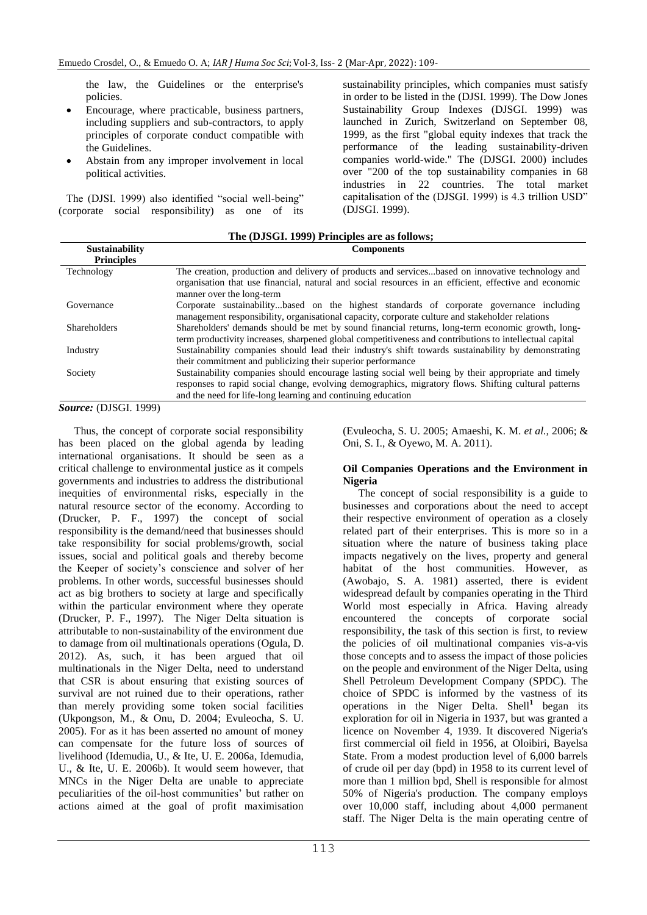the law, the Guidelines or the enterprise's policies.

- Encourage, where practicable, business partners, including suppliers and sub-contractors, to apply principles of corporate conduct compatible with the Guidelines.
- Abstain from any improper involvement in local political activities.

The (DJSI. 1999) also identified "social well-being" (corporate social responsibility) as one of its sustainability principles, which companies must satisfy in order to be listed in the (DJSI. 1999). The Dow Jones Sustainability Group Indexes (DJSGI. 1999) was launched in Zurich, Switzerland on September 08, 1999, as the first "global equity indexes that track the performance of the leading sustainability-driven companies world-wide." The (DJSGI. 2000) includes over "200 of the top sustainability companies in 68 industries in 22 countries. The total market capitalisation of the (DJSGI. 1999) is 4.3 trillion USD" (DJSGI. 1999).

| The (DJSGI. 1999) Principles are as follows; |                                                                                                                                                                                                                                                                             |
|----------------------------------------------|-----------------------------------------------------------------------------------------------------------------------------------------------------------------------------------------------------------------------------------------------------------------------------|
| <b>Sustainability</b><br><b>Principles</b>   | <b>Components</b>                                                                                                                                                                                                                                                           |
| Technology                                   | The creation, production and delivery of products and servicesbased on innovative technology and<br>organisation that use financial, natural and social resources in an efficient, effective and economic<br>manner over the long-term                                      |
| Governance                                   | Corporate sustainabilitybased on the highest standards of corporate governance including<br>management responsibility, organisational capacity, corporate culture and stakeholder relations                                                                                 |
| <b>Shareholders</b>                          | Shareholders' demands should be met by sound financial returns, long-term economic growth, long-<br>term productivity increases, sharpened global competitiveness and contributions to intellectual capital                                                                 |
| Industry                                     | Sustainability companies should lead their industry's shift towards sustainability by demonstrating<br>their commitment and publicizing their superior performance                                                                                                          |
| Society                                      | Sustainability companies should encourage lasting social well being by their appropriate and timely<br>responses to rapid social change, evolving demographics, migratory flows. Shifting cultural patterns<br>and the need for life-long learning and continuing education |

*Source:* (DJSGI. 1999)

Thus, the concept of corporate social responsibility has been placed on the global agenda by leading international organisations. It should be seen as a critical challenge to environmental justice as it compels governments and industries to address the distributional inequities of environmental risks, especially in the natural resource sector of the economy. According to (Drucker, P. F., 1997) the concept of social responsibility is the demand/need that businesses should take responsibility for social problems/growth, social issues, social and political goals and thereby become the Keeper of society's conscience and solver of her problems. In other words, successful businesses should act as big brothers to society at large and specifically within the particular environment where they operate (Drucker, P. F., 1997). The Niger Delta situation is attributable to non-sustainability of the environment due to damage from oil multinationals operations (Ogula, D. 2012). As, such, it has been argued that oil multinationals in the Niger Delta, need to understand that CSR is about ensuring that existing sources of survival are not ruined due to their operations, rather than merely providing some token social facilities (Ukpongson, M., & Onu, D. 2004; Evuleocha, S. U. 2005). For as it has been asserted no amount of money can compensate for the future loss of sources of livelihood (Idemudia, U., & Ite, U. E. 2006a, Idemudia, U., & Ite, U. E. 2006b). It would seem however, that MNCs in the Niger Delta are unable to appreciate peculiarities of the oil-host communities" but rather on actions aimed at the goal of profit maximisation

(Evuleocha, S. U. 2005; Amaeshi, K. M. *et al.,* 2006; & Oni, S. I., & Oyewo, M. A. 2011).

#### **Oil Companies Operations and the Environment in Nigeria**

The concept of social responsibility is a guide to businesses and corporations about the need to accept their respective environment of operation as a closely related part of their enterprises. This is more so in a situation where the nature of business taking place impacts negatively on the lives, property and general habitat of the host communities. However, as (Awobajo, S. A. 1981) asserted, there is evident widespread default by companies operating in the Third World most especially in Africa. Having already encountered the concepts of corporate social responsibility, the task of this section is first, to review the policies of oil multinational companies vis-a-vis those concepts and to assess the impact of those policies on the people and environment of the Niger Delta, using Shell Petroleum Development Company (SPDC). The choice of SPDC is informed by the vastness of its operations in the Niger Delta. Shell**<sup>1</sup>** began its exploration for oil in Nigeria in 1937, but was granted a licence on November 4, 1939. It discovered Nigeria's first commercial oil field in 1956, at Oloibiri, Bayelsa State. From a modest production level of 6,000 barrels of crude oil per day (bpd) in 1958 to its current level of more than 1 million bpd, Shell is responsible for almost 50% of Nigeria's production. The company employs over 10,000 staff, including about 4,000 permanent staff. The Niger Delta is the main operating centre of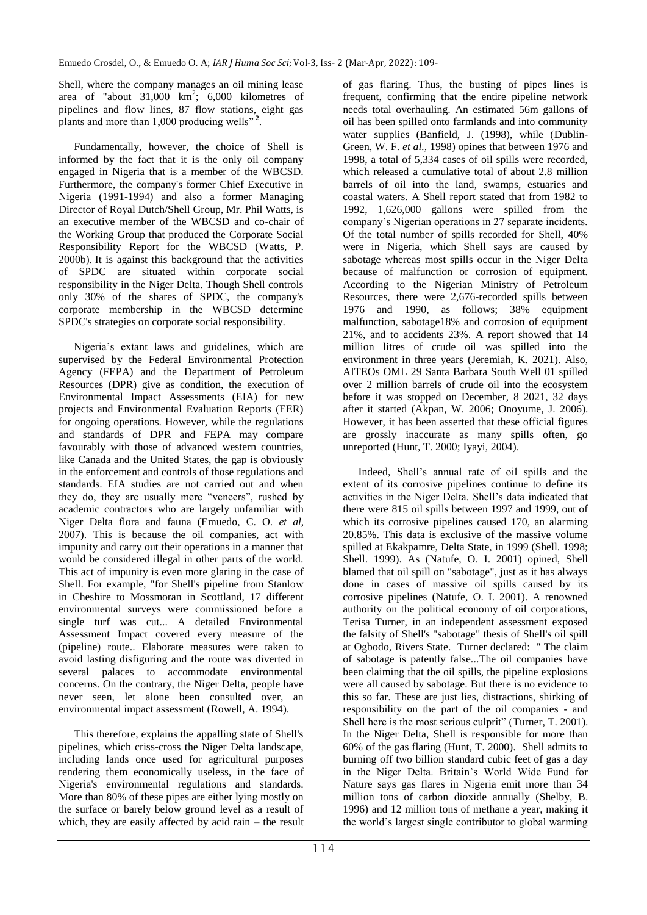Shell, where the company manages an oil mining lease area of "about  $31,000 \text{ km}^2$ ;  $6,000 \text{ kilometers}$  of pipelines and flow lines, 87 flow stations, eight gas plants and more than 1,000 producing wells" **<sup>2</sup>** .

Fundamentally, however, the choice of Shell is informed by the fact that it is the only oil company engaged in Nigeria that is a member of the WBCSD. Furthermore, the company's former Chief Executive in Nigeria (1991-1994) and also a former Managing Director of Royal Dutch/Shell Group, Mr. Phil Watts, is an executive member of the WBCSD and co-chair of the Working Group that produced the Corporate Social Responsibility Report for the WBCSD (Watts, P. 2000b). It is against this background that the activities of SPDC are situated within corporate social responsibility in the Niger Delta. Though Shell controls only 30% of the shares of SPDC, the company's corporate membership in the WBCSD determine SPDC's strategies on corporate social responsibility.

Nigeria"s extant laws and guidelines, which are supervised by the Federal Environmental Protection Agency (FEPA) and the Department of Petroleum Resources (DPR) give as condition, the execution of Environmental Impact Assessments (EIA) for new projects and Environmental Evaluation Reports (EER) for ongoing operations. However, while the regulations and standards of DPR and FEPA may compare favourably with those of advanced western countries, like Canada and the United States, the gap is obviously in the enforcement and controls of those regulations and standards. EIA studies are not carried out and when they do, they are usually mere "veneers", rushed by academic contractors who are largely unfamiliar with Niger Delta flora and fauna (Emuedo, C. O. *et al*, 2007). This is because the oil companies, act with impunity and carry out their operations in a manner that would be considered illegal in other parts of the world. This act of impunity is even more glaring in the case of Shell. For example, "for Shell's pipeline from Stanlow in Cheshire to Mossmoran in Scottland, 17 different environmental surveys were commissioned before a single turf was cut... A detailed Environmental Assessment Impact covered every measure of the (pipeline) route.. Elaborate measures were taken to avoid lasting disfiguring and the route was diverted in several palaces to accommodate environmental concerns. On the contrary, the Niger Delta, people have never seen, let alone been consulted over, an environmental impact assessment (Rowell, A. 1994).

This therefore, explains the appalling state of Shell's pipelines, which criss-cross the Niger Delta landscape, including lands once used for agricultural purposes rendering them economically useless, in the face of Nigeria's environmental regulations and standards. More than 80% of these pipes are either lying mostly on the surface or barely below ground level as a result of which, they are easily affected by acid rain – the result of gas flaring. Thus, the busting of pipes lines is frequent, confirming that the entire pipeline network needs total overhauling. An estimated 56m gallons of oil has been spilled onto farmlands and into community water supplies (Banfield, J. (1998), while (Dublin-Green, W. F. *et al.,* 1998) opines that between 1976 and 1998, a total of 5,334 cases of oil spills were recorded, which released a cumulative total of about 2.8 million barrels of oil into the land, swamps, estuaries and coastal waters. A Shell report stated that from 1982 to 1992, 1,626,000 gallons were spilled from the company"s Nigerian operations in 27 separate incidents. Of the total number of spills recorded for Shell, 40% were in Nigeria, which Shell says are caused by sabotage whereas most spills occur in the Niger Delta because of malfunction or corrosion of equipment. According to the Nigerian Ministry of Petroleum Resources, there were 2,676-recorded spills between 1976 and 1990, as follows; 38% equipment malfunction, sabotage18% and corrosion of equipment 21%, and to accidents 23%. A report showed that 14 million litres of crude oil was spilled into the environment in three years (Jeremiah, K. 2021). Also, AITEOs OML 29 Santa Barbara South Well 01 spilled over 2 million barrels of crude oil into the ecosystem before it was stopped on December, 8 2021, 32 days after it started (Akpan, W. 2006; Onoyume, J. 2006). However, it has been asserted that these official figures are grossly inaccurate as many spills often, go unreported (Hunt, T. 2000; Iyayi, 2004).

Indeed, Shell"s annual rate of oil spills and the extent of its corrosive pipelines continue to define its activities in the Niger Delta. Shell"s data indicated that there were 815 oil spills between 1997 and 1999, out of which its corrosive pipelines caused 170, an alarming 20.85%. This data is exclusive of the massive volume spilled at Ekakpamre, Delta State, in 1999 (Shell. 1998; Shell. 1999). As (Natufe, O. I. 2001) opined, Shell blamed that oil spill on "sabotage", just as it has always done in cases of massive oil spills caused by its corrosive pipelines (Natufe, O. I. 2001). A renowned authority on the political economy of oil corporations, Terisa Turner, in an independent assessment exposed the falsity of Shell's "sabotage" thesis of Shell's oil spill at Ogbodo, Rivers State. Turner declared: " The claim of sabotage is patently false...The oil companies have been claiming that the oil spills, the pipeline explosions were all caused by sabotage. But there is no evidence to this so far. These are just lies, distractions, shirking of responsibility on the part of the oil companies - and Shell here is the most serious culprit" (Turner, T. 2001). In the Niger Delta, Shell is responsible for more than 60% of the gas flaring (Hunt, T. 2000). Shell admits to burning off two billion standard cubic feet of gas a day in the Niger Delta. Britain"s World Wide Fund for Nature says gas flares in Nigeria emit more than 34 million tons of carbon dioxide annually (Shelby, B. 1996) and 12 million tons of methane a year, making it the world"s largest single contributor to global warming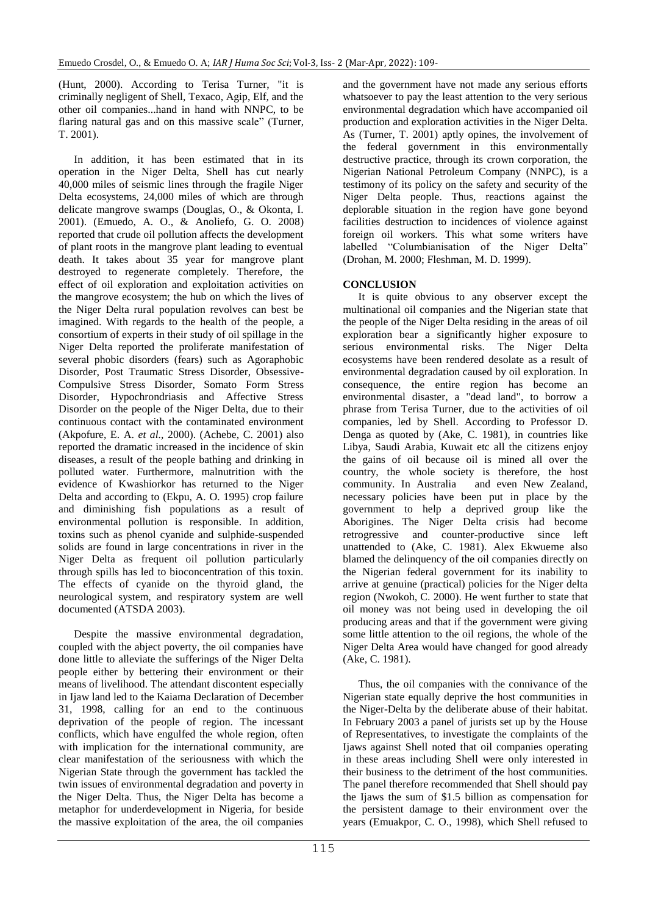(Hunt, 2000). According to Terisa Turner, "it is criminally negligent of Shell, Texaco, Agip, Elf, and the other oil companies...hand in hand with NNPC, to be flaring natural gas and on this massive scale" (Turner, T. 2001).

In addition, it has been estimated that in its operation in the Niger Delta, Shell has cut nearly 40,000 miles of seismic lines through the fragile Niger Delta ecosystems, 24,000 miles of which are through delicate mangrove swamps (Douglas, O., & Okonta, I. 2001). (Emuedo, A. O., & Anoliefo, G. O. 2008) reported that crude oil pollution affects the development of plant roots in the mangrove plant leading to eventual death. It takes about 35 year for mangrove plant destroyed to regenerate completely. Therefore, the effect of oil exploration and exploitation activities on the mangrove ecosystem; the hub on which the lives of the Niger Delta rural population revolves can best be imagined. With regards to the health of the people, a consortium of experts in their study of oil spillage in the Niger Delta reported the proliferate manifestation of several phobic disorders (fears) such as Agoraphobic Disorder, Post Traumatic Stress Disorder, Obsessive-Compulsive Stress Disorder, Somato Form Stress Disorder, Hypochrondriasis and Affective Stress Disorder on the people of the Niger Delta, due to their continuous contact with the contaminated environment (Akpofure, E. A. *et al.,* 2000). (Achebe, C. 2001) also reported the dramatic increased in the incidence of skin diseases, a result of the people bathing and drinking in polluted water. Furthermore, malnutrition with the evidence of Kwashiorkor has returned to the Niger Delta and according to (Ekpu, A. O. 1995) crop failure and diminishing fish populations as a result of environmental pollution is responsible. In addition, toxins such as phenol cyanide and sulphide-suspended solids are found in large concentrations in river in the Niger Delta as frequent oil pollution particularly through spills has led to bioconcentration of this toxin. The effects of cyanide on the thyroid gland, the neurological system, and respiratory system are well documented (ATSDA 2003).

Despite the massive environmental degradation, coupled with the abject poverty, the oil companies have done little to alleviate the sufferings of the Niger Delta people either by bettering their environment or their means of livelihood. The attendant discontent especially in Ijaw land led to the Kaiama Declaration of December 31, 1998, calling for an end to the continuous deprivation of the people of region. The incessant conflicts, which have engulfed the whole region, often with implication for the international community, are clear manifestation of the seriousness with which the Nigerian State through the government has tackled the twin issues of environmental degradation and poverty in the Niger Delta. Thus, the Niger Delta has become a metaphor for underdevelopment in Nigeria, for beside the massive exploitation of the area, the oil companies

and the government have not made any serious efforts whatsoever to pay the least attention to the very serious environmental degradation which have accompanied oil production and exploration activities in the Niger Delta. As (Turner, T. 2001) aptly opines, the involvement of the federal government in this environmentally destructive practice, through its crown corporation, the Nigerian National Petroleum Company (NNPC), is a testimony of its policy on the safety and security of the Niger Delta people. Thus, reactions against the deplorable situation in the region have gone beyond facilities destruction to incidences of violence against foreign oil workers. This what some writers have labelled "Columbianisation of the Niger Delta" (Drohan, M. 2000; Fleshman, M. D. 1999).

### **CONCLUSION**

It is quite obvious to any observer except the multinational oil companies and the Nigerian state that the people of the Niger Delta residing in the areas of oil exploration bear a significantly higher exposure to serious environmental risks. The Niger Delta ecosystems have been rendered desolate as a result of environmental degradation caused by oil exploration. In consequence, the entire region has become an environmental disaster, a "dead land", to borrow a phrase from Terisa Turner, due to the activities of oil companies, led by Shell. According to Professor D. Denga as quoted by (Ake, C. 1981), in countries like Libya, Saudi Arabia, Kuwait etc all the citizens enjoy the gains of oil because oil is mined all over the country, the whole society is therefore, the host community. In Australia and even New Zealand, necessary policies have been put in place by the government to help a deprived group like the Aborigines. The Niger Delta crisis had become retrogressive and counter-productive since left unattended to (Ake, C. 1981). Alex Ekwueme also blamed the delinquency of the oil companies directly on the Nigerian federal government for its inability to arrive at genuine (practical) policies for the Niger delta region (Nwokoh, C. 2000). He went further to state that oil money was not being used in developing the oil producing areas and that if the government were giving some little attention to the oil regions, the whole of the Niger Delta Area would have changed for good already (Ake, C. 1981).

Thus, the oil companies with the connivance of the Nigerian state equally deprive the host communities in the Niger-Delta by the deliberate abuse of their habitat. In February 2003 a panel of jurists set up by the House of Representatives, to investigate the complaints of the Ijaws against Shell noted that oil companies operating in these areas including Shell were only interested in their business to the detriment of the host communities. The panel therefore recommended that Shell should pay the Ijaws the sum of \$1.5 billion as compensation for the persistent damage to their environment over the years (Emuakpor, C. O., 1998), which Shell refused to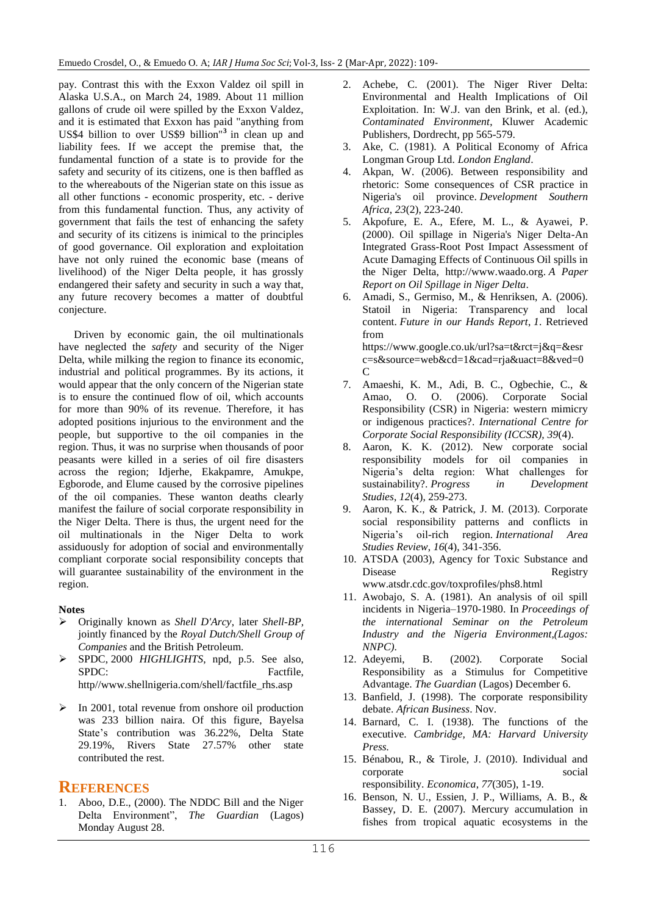pay. Contrast this with the Exxon Valdez oil spill in Alaska U.S.A., on March 24, 1989. About 11 million gallons of crude oil were spilled by the Exxon Valdez, and it is estimated that Exxon has paid "anything from US\$4 billion to over US\$9 billion"**<sup>3</sup>** in clean up and liability fees. If we accept the premise that, the fundamental function of a state is to provide for the safety and security of its citizens, one is then baffled as to the whereabouts of the Nigerian state on this issue as all other functions - economic prosperity, etc. - derive from this fundamental function. Thus, any activity of government that fails the test of enhancing the safety and security of its citizens is inimical to the principles of good governance. Oil exploration and exploitation have not only ruined the economic base (means of livelihood) of the Niger Delta people, it has grossly endangered their safety and security in such a way that, any future recovery becomes a matter of doubtful conjecture.

Driven by economic gain, the oil multinationals have neglected the *safety* and security of the Niger Delta, while milking the region to finance its economic, industrial and political programmes. By its actions, it would appear that the only concern of the Nigerian state is to ensure the continued flow of oil, which accounts for more than 90% of its revenue. Therefore, it has adopted positions injurious to the environment and the people, but supportive to the oil companies in the region. Thus, it was no surprise when thousands of poor peasants were killed in a series of oil fire disasters across the region; Idjerhe, Ekakpamre, Amukpe, Egborode, and Elume caused by the corrosive pipelines of the oil companies. These wanton deaths clearly manifest the failure of social corporate responsibility in the Niger Delta. There is thus, the urgent need for the oil multinationals in the Niger Delta to work assiduously for adoption of social and environmentally compliant corporate social responsibility concepts that will guarantee sustainability of the environment in the region.

#### **Notes**

- Originally known as *Shell D'Arcy*, later *Shell-BP,*  jointly financed by the *Royal Dutch/Shell Group of Companies* and the British Petroleum.
- SPDC, 2000 *HIGHLIGHTS*, npd, p.5. See also, SPDC: Factfile, http//www.shellnigeria.com/shell/factfile\_rhs.asp
- $\triangleright$  In 2001, total revenue from onshore oil production was 233 billion naira. Of this figure, Bayelsa State"s contribution was 36.22%, Delta State 29.19%, Rivers State 27.57% other state contributed the rest.

#### **REFERENCES**

1. Aboo, D.E., (2000). The NDDC Bill and the Niger Delta Environment", *The Guardian* (Lagos) Monday August 28.

- 2. Achebe, C. (2001). The Niger River Delta: Environmental and Health Implications of Oil Exploitation. In: W.J. van den Brink, et al. (ed.), *Contaminated Environment*, Kluwer Academic Publishers, Dordrecht, pp 565-579.
- 3. Ake, C. (1981). A Political Economy of Africa Longman Group Ltd. *London England*.
- 4. Akpan, W. (2006). Between responsibility and rhetoric: Some consequences of CSR practice in Nigeria's oil province. *Development Southern Africa*, *23*(2), 223-240.
- 5. Akpofure, E. A., Efere, M. L., & Ayawei, P. (2000). Oil spillage in Nigeria's Niger Delta-An Integrated Grass-Root Post Impact Assessment of Acute Damaging Effects of Continuous Oil spills in the Niger Delta, [http://www.waado.org.](http://www.waado.org/) *A Paper Report on Oil Spillage in Niger Delta*.
- 6. Amadi, S., Germiso, M., & Henriksen, A. (2006). Statoil in Nigeria: Transparency and local content. *Future in our Hands Report*, *1*. Retrieved from [https://www.google.co.uk/url?sa=t&rct=j&q=&esr](https://www.google.co.uk/url?sa=t&rct=j&q=&esrc=s&source=web&cd=1&cad=rja&uact=8&ved=0C)

[c=s&source=web&cd=1&cad=rja&uact=8&ved=0](https://www.google.co.uk/url?sa=t&rct=j&q=&esrc=s&source=web&cd=1&cad=rja&uact=8&ved=0C) [C](https://www.google.co.uk/url?sa=t&rct=j&q=&esrc=s&source=web&cd=1&cad=rja&uact=8&ved=0C)

- 7. Amaeshi, K. M., Adi, B. C., Ogbechie, C., & Amao, O. O. (2006). Corporate Social Responsibility (CSR) in Nigeria: western mimicry or indigenous practices?. *International Centre for Corporate Social Responsibility (ICCSR), 39*(4).
- 8. Aaron, K. K. (2012). New corporate social responsibility models for oil companies in Nigeria"s delta region: What challenges for sustainability?. *Progress in Development Studies*, *12*(4), 259-273.
- 9. Aaron, K. K., & Patrick, J. M. (2013). Corporate social responsibility patterns and conflicts in Nigeria"s oil-rich region. *International Area Studies Review*, *16*(4), 341-356.
- 10. ATSDA (2003), Agency for Toxic Substance and Disease Registry [www.atsdr.cdc.gov/toxprofiles/phs8.html](http://www.atsdr.cdc.gov/toxprofiles/phs8.html)
- 11. Awobajo, S. A. (1981). An analysis of oil spill incidents in Nigeria–1970-1980. In *Proceedings of the international Seminar on the Petroleum Industry and the Nigeria Environment,(Lagos: NNPC)*.
- 12. Adeyemi, B. (2002). Corporate Social Responsibility as a Stimulus for Competitive Advantage. *The Guardian* (Lagos) December 6.
- 13. Banfield, J. (1998). The corporate responsibility debate. *African Business*. Nov.
- 14. Barnard, C. I. (1938). The functions of the executive. *Cambridge, MA: Harvard University Press.*
- 15. Bénabou, R., & Tirole, J. (2010). Individual and corporate social responsibility. *Economica*, *77*(305), 1-19.
- 16. Benson, N. U., Essien, J. P., Williams, A. B., & Bassey, D. E. (2007). Mercury accumulation in fishes from tropical aquatic ecosystems in the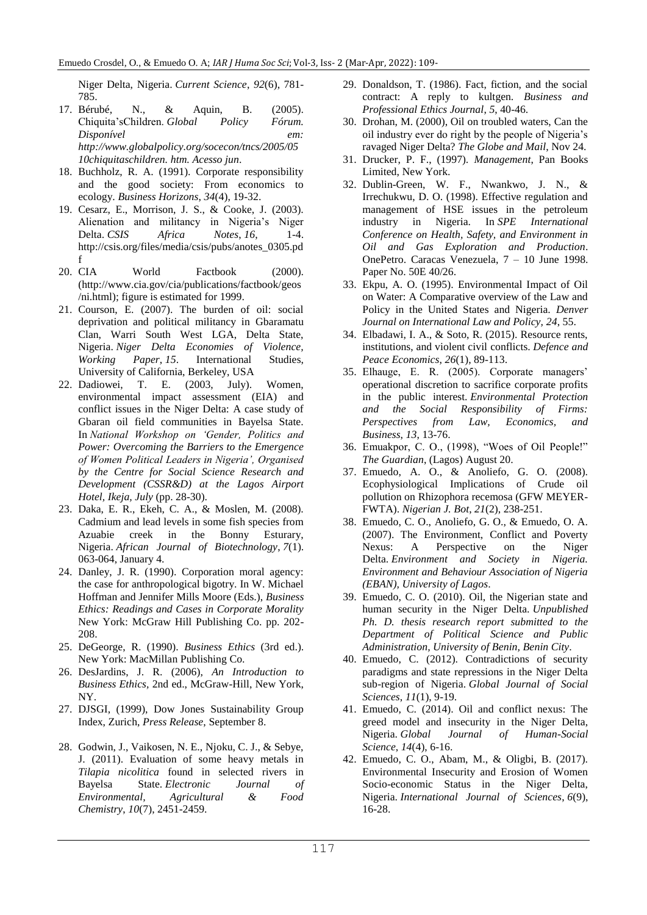Niger Delta, Nigeria. *Current Science*, *92*(6), 781- 785.

- 17. Bérubé, N., & Aquin, B. (2005). Chiquita"sChildren. *Global Policy Fórum. Disponível em: [http://www.globalpolicy.org/socecon/tncs/2005/05](http://www.globalpolicy.org/socecon/tncs/2005/0510chiquitaschildren) [10chiquitaschildren.](http://www.globalpolicy.org/socecon/tncs/2005/0510chiquitaschildren) htm. Acesso jun*.
- 18. Buchholz, R. A. (1991). Corporate responsibility and the good society: From economics to ecology. *Business Horizons*, *34*(4), 19-32.
- 19. Cesarz, E., Morrison, J. S., & Cooke, J. (2003). Alienation and militancy in Nigeria's Niger Delta. *CSIS* Africa Notes, 16, 1-4. [http://csis.org/files/media/csis/pubs/anotes\\_0305.pd](http://csis.org/files/media/csis/pubs/anotes_0305.pdf) [f](http://csis.org/files/media/csis/pubs/anotes_0305.pdf)
- 20. CIA World Factbook (2000). (http://www.cia.gov/cia/publications/factbook/geos /ni.html); figure is estimated for 1999.
- 21. Courson, E. (2007). The burden of oil: social deprivation and political militancy in Gbaramatu Clan, Warri South West LGA, Delta State, Nigeria. *Niger Delta Economies of Violence, Working Paper*, *15*. International Studies, University of California, Berkeley, USA
- 22. Dadiowei, T. E. (2003, July). Women, environmental impact assessment (EIA) and conflict issues in the Niger Delta: A case study of Gbaran oil field communities in Bayelsa State. In *National Workshop on 'Gender, Politics and Power: Overcoming the Barriers to the Emergence of Women Political Leaders in Nigeria', Organised by the Centre for Social Science Research and Development (CSSR&D) at the Lagos Airport Hotel, Ikeja, July* (pp. 28-30).
- 23. Daka, E. R., Ekeh, C. A., & Moslen, M. (2008). Cadmium and lead levels in some fish species from Azuabie creek in the Bonny Esturary, Nigeria. *African Journal of Biotechnology*, *7*(1). 063-064, January 4.
- 24. Danley, J. R. (1990). Corporation moral agency: the case for anthropological bigotry. In W. Michael Hoffman and Jennifer Mills Moore (Eds.), *Business Ethics: Readings and Cases in Corporate Morality* New York: McGraw Hill Publishing Co. pp. 202- 208.
- 25. DeGeorge, R. (1990). *Business Ethics* (3rd ed.). New York: MacMillan Publishing Co.
- 26. DesJardins, J. R. (2006), *An Introduction to Business Ethics,* 2nd ed., McGraw-Hill, New York, NY.
- 27. DJSGI, (1999), Dow Jones Sustainability Group Index, Zurich, *Press Release*, September 8.
- 28. Godwin, J., Vaikosen, N. E., Njoku, C. J., & Sebye, J. (2011). Evaluation of some heavy metals in *Tilapia nicolitica* found in selected rivers in Bayelsa State. *Electronic Journal of Environmental, Agricultural & Food Chemistry*, *10*(7), 2451-2459.
- 29. Donaldson, T. (1986). Fact, fiction, and the social contract: A reply to kultgen. *Business and Professional Ethics Journal*, *5*, 40-46.
- 30. Drohan, M. (2000), Oil on troubled waters, Can the oil industry ever do right by the people of Nigeria"s ravaged Niger Delta? *The Globe and Mail*, Nov 24.
- 31. Drucker, P. F., (1997). *Management*, Pan Books Limited, New York.
- 32. Dublin-Green, W. F., Nwankwo, J. N., & Irrechukwu, D. O. (1998). Effective regulation and management of HSE issues in the petroleum industry in Nigeria. In *SPE International Conference on Health, Safety, and Environment in Oil and Gas Exploration and Production*. OnePetro. Caracas Venezuela, 7 – 10 June 1998. Paper No. 50E 40/26.
- 33. Ekpu, A. O. (1995). Environmental Impact of Oil on Water: A Comparative overview of the Law and Policy in the United States and Nigeria. *Denver Journal on International Law and Policy, 24*, 55.
- 34. Elbadawi, I. A., & Soto, R. (2015). Resource rents, institutions, and violent civil conflicts. *Defence and Peace Economics*, *26*(1), 89-113.
- 35. Elhauge, E. R. (2005). Corporate managers" operational discretion to sacrifice corporate profits in the public interest. *Environmental Protection and the Social Responsibility of Firms: Perspectives from Law, Economics, and Business*, *13*, 13-76.
- 36. Emuakpor, C. O., (1998), "Woes of Oil People!" *The Guardian*, (Lagos) August 20.
- 37. Emuedo, A. O., & Anoliefo, G. O. (2008). Ecophysiological Implications of Crude oil pollution on Rhizophora recemosa (GFW MEYER-FWTA). *Nigerian J. Bot*, *21*(2), 238-251.
- 38. Emuedo, C. O., Anoliefo, G. O., & Emuedo, O. A. (2007). The Environment, Conflict and Poverty Nexus: A Perspective on the Niger Delta. *Environment and Society in Nigeria. Environment and Behaviour Association of Nigeria (EBAN), University of Lagos*.
- 39. Emuedo, C. O. (2010). Oil, the Nigerian state and human security in the Niger Delta. *Unpublished Ph. D. thesis research report submitted to the Department of Political Science and Public Administration, University of Benin, Benin City*.
- 40. Emuedo, C. (2012). Contradictions of security paradigms and state repressions in the Niger Delta sub-region of Nigeria. *Global Journal of Social Sciences*, *11*(1), 9-19.
- 41. Emuedo, C. (2014). Oil and conflict nexus: The greed model and insecurity in the Niger Delta, Nigeria. *Global Journal of Human-Social Science*, *14*(4), 6-16.
- 42. Emuedo, C. O., Abam, M., & Oligbi, B. (2017). Environmental Insecurity and Erosion of Women Socio-economic Status in the Niger Delta, Nigeria. *International Journal of Sciences*, *6*(9), 16-28.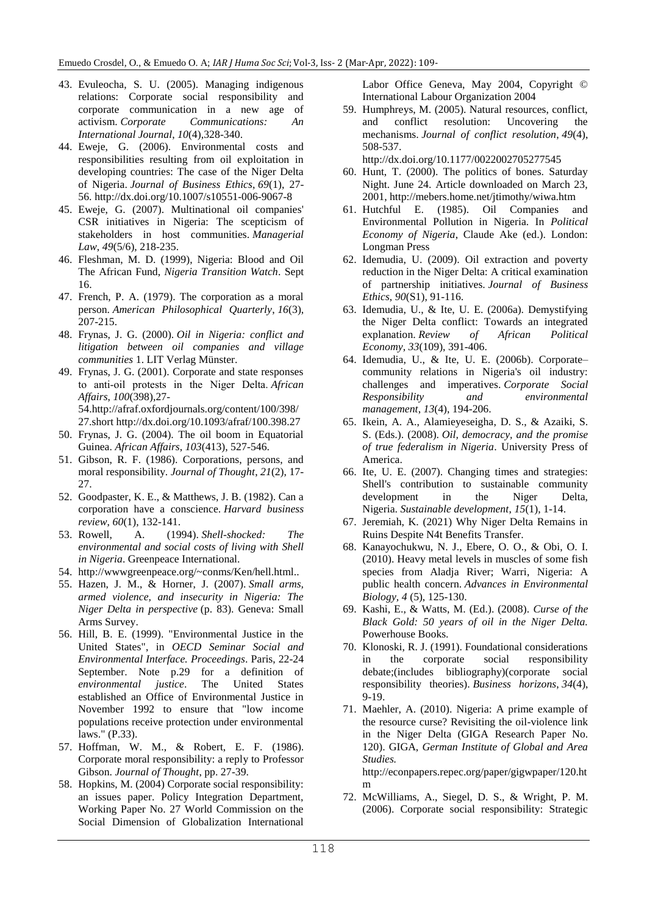- 43. Evuleocha, S. U. (2005). Managing indigenous relations: Corporate social responsibility and corporate communication in a new age of activism. *Corporate Communications: An International Journal*, *10*(4),328-340.
- 44. Eweje, G. (2006). Environmental costs and responsibilities resulting from oil exploitation in developing countries: The case of the Niger Delta of Nigeria. *Journal of Business Ethics*, *69*(1), 27- 56.<http://dx.doi.org/10.1007/s10551-006-9067-8>
- 45. Eweje, G. (2007). Multinational oil companies' CSR initiatives in Nigeria: The scepticism of stakeholders in host communities. *Managerial Law*, *49*(5/6), 218-235.
- 46. Fleshman, M. D. (1999), Nigeria: Blood and Oil The African Fund, *Nigeria Transition Watch*. Sept 16.
- 47. French, P. A. (1979). The corporation as a moral person. *American Philosophical Quarterly*, *16*(3), 207-215.
- 48. Frynas, J. G. (2000). *Oil in Nigeria: conflict and litigation between oil companies and village communities* 1. LIT Verlag Münster.
- 49. Frynas, J. G. (2001). Corporate and state responses to anti‐oil protests in the Niger Delta. *African Affairs*, *100*(398),27- 5[4.http://afraf.oxfordjournals.org/content/100/398/](http://afraf.oxfordjournals.org/content/100/398/27.short) [27.short](http://afraf.oxfordjournals.org/content/100/398/27.short) <http://dx.doi.org/10.1093/afraf/100.398.27>
- 50. Frynas, J. G. (2004). The oil boom in Equatorial Guinea. *African Affairs*, *103*(413), 527-546.
- 51. Gibson, R. F. (1986). Corporations, persons, and moral responsibility. *Journal of Thought*, *21*(2), 17- 27.
- 52. Goodpaster, K. E., & Matthews, J. B. (1982). Can a corporation have a conscience. *Harvard business review*, *60*(1), 132-141.
- 53. Rowell, A. (1994). *Shell-shocked: The environmental and social costs of living with Shell in Nigeria*. Greenpeace International.
- 54. http://wwwgreenpeace.org/~conms/Ken/hell.html..
- 55. Hazen, J. M., & Horner, J. (2007). *Small arms, armed violence, and insecurity in Nigeria: The Niger Delta in perspective* (p. 83). Geneva: Small Arms Survey.
- 56. Hill, B. E. (1999). "Environmental Justice in the United States", in *OECD Seminar Social and Environmental Interface. Proceedings*. Paris, 22-24 September. Note p.29 for a definition of *environmental justice*. The United States established an Office of Environmental Justice in November 1992 to ensure that "low income populations receive protection under environmental laws." (P.33).
- 57. Hoffman, W. M., & Robert, E. F. (1986). Corporate moral responsibility: a reply to Professor Gibson. *Journal of Thought*, pp. 27-39.
- 58. Hopkins, M. (2004) Corporate social responsibility: an issues paper. Policy Integration Department, Working Paper No. 27 World Commission on the Social Dimension of Globalization International

Labor Office Geneva, May 2004, Copyright © International Labour Organization 2004

59. Humphreys, M. (2005). Natural resources, conflict, and conflict resolution: Uncovering the mechanisms. *Journal of conflict resolution*, *49*(4), 508-537.

<http://dx.doi.org/10.1177/0022002705277545>

- 60. Hunt, T. (2000). The politics of bones. Saturday Night. June 24. Article downloaded on March 23, 2001[, http://mebers.home.net/jtimothy/wiwa.htm](http://mebers.home.net/jtimothy/wiwa.htm)
- 61. Hutchful E. (1985). Oil Companies and Environmental Pollution in Nigeria. In *Political Economy of Nigeria*, Claude Ake (ed.). London: Longman Press
- 62. Idemudia, U. (2009). Oil extraction and poverty reduction in the Niger Delta: A critical examination of partnership initiatives. *Journal of Business Ethics*, *90*(S1), 91-116.
- 63. Idemudia, U., & Ite, U. E. (2006a). Demystifying the Niger Delta conflict: Towards an integrated explanation. *Review of African Political Economy*, *33*(109), 391-406.
- 64. Idemudia, U., & Ite, U. E. (2006b). Corporate– community relations in Nigeria's oil industry: challenges and imperatives. *Corporate Social Responsibility and environmental management*, *13*(4), 194-206.
- 65. Ikein, A. A., Alamieyeseigha, D. S., & Azaiki, S. S. (Eds.). (2008). *Oil, democracy, and the promise of true federalism in Nigeria*. University Press of America.
- 66. Ite, U. E. (2007). Changing times and strategies: Shell's contribution to sustainable community development in the Niger Delta, Nigeria. *Sustainable development*, *15*(1), 1-14.
- 67. Jeremiah, K. (2021) Why Niger Delta Remains in Ruins Despite N4t Benefits Transfer.
- 68. Kanayochukwu, N. J., Ebere, O. O., & Obi, O. I. (2010). Heavy metal levels in muscles of some fish species from Aladja River; Warri, Nigeria: A public health concern. *Advances in Environmental Biology, 4* (5), 125-130.
- 69. Kashi, E., & Watts, M. (Ed.). (2008). *Curse of the Black Gold: 50 years of oil in the Niger Delta.* Powerhouse Books.
- 70. Klonoski, R. J. (1991). Foundational considerations in the corporate social responsibility debate;(includes bibliography)(corporate social responsibility theories). *Business horizons*, *34*(4), 9-19.
- 71. Maehler, A. (2010). Nigeria: A prime example of the resource curse? Revisiting the oil-violence link in the Niger Delta (GIGA Research Paper No. 120). GIGA, *German Institute of Global and Area Studies.*

[http://econpapers.repec.org/paper/gigwpaper/120.ht](http://econpapers.repec.org/paper/gigwpaper/120.htm) [m](http://econpapers.repec.org/paper/gigwpaper/120.htm)

72. McWilliams, A., Siegel, D. S., & Wright, P. M. (2006). Corporate social responsibility: Strategic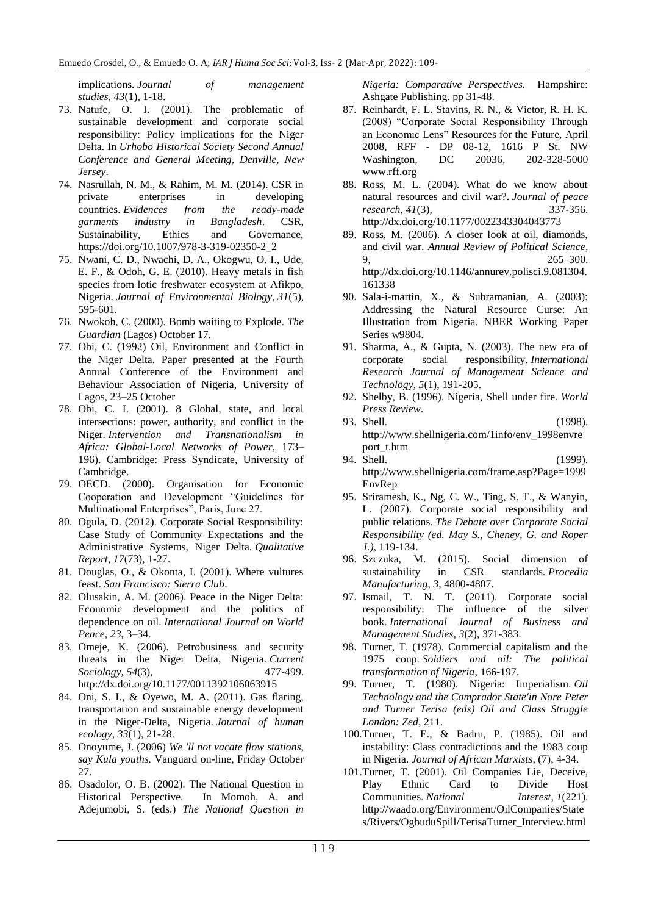implications. *Journal of management studies*, *43*(1), 1-18.

- 73. Natufe, O. I. (2001). The problematic of sustainable development and corporate social responsibility: Policy implications for the Niger Delta. In *Urhobo Historical Society Second Annual Conference and General Meeting, Denville, New Jersey*.
- 74. Nasrullah, N. M., & Rahim, M. M. (2014). CSR in private enterprises in developing countries. *Evidences from the ready-made garments industry in Bangladesh*. CSR, Sustainability, Ethics and Governance, [https://doi.org/10.1007/978-3-319-02350-2\\_2](https://doi.org/10.1007/978-3-319-02350-2_2)
- 75. Nwani, C. D., Nwachi, D. A., Okogwu, O. I., Ude, E. F., & Odoh, G. E. (2010). Heavy metals in fish species from lotic freshwater ecosystem at Afikpo, Nigeria. *Journal of Environmental Biology*, *31*(5), 595-601.
- 76. Nwokoh, C. (2000). Bomb waiting to Explode. *The Guardian* (Lagos) October 17.
- 77. Obi, C. (1992) Oil, Environment and Conflict in the Niger Delta. Paper presented at the Fourth Annual Conference of the Environment and Behaviour Association of Nigeria, University of Lagos, 23–25 October
- 78. Obi, C. I. (2001). 8 Global, state, and local intersections: power, authority, and conflict in the Niger. *Intervention and Transnationalism in Africa: Global-Local Networks of Power*, 173– 196). Cambridge: Press Syndicate, University of Cambridge.
- 79. OECD. (2000). Organisation for Economic Cooperation and Development "Guidelines for Multinational Enterprises", Paris, June 27.
- 80. Ogula, D. (2012). Corporate Social Responsibility: Case Study of Community Expectations and the Administrative Systems, Niger Delta. *Qualitative Report*, *17*(73), 1-27.
- 81. Douglas, O., & Okonta, I. (2001). Where vultures feast. *San Francisco: Sierra Club*.
- 82. Olusakin, A. M. (2006). Peace in the Niger Delta: Economic development and the politics of dependence on oil. *International Journal on World Peace*, *23*, 3–34.
- 83. Omeje, K. (2006). Petrobusiness and security threats in the Niger Delta, Nigeria. *Current Sociology*, *54*(3), 477-499. <http://dx.doi.org/10.1177/0011392106063915>
- 84. Oni, S. I., & Oyewo, M. A. (2011). Gas flaring, transportation and sustainable energy development in the Niger-Delta, Nigeria. *Journal of human ecology*, *33*(1), 21-28.
- 85. Onoyume, J. (2006) *We 'll not vacate flow stations, say Kula youths.* Vanguard on-line, Friday October 27.
- 86. Osadolor, O. B. (2002). The National Question in Historical Perspective. In Momoh, A. and Adejumobi, S. (eds.) *The National Question in*

*Nigeria: Comparative Perspectives.* Hampshire: Ashgate Publishing. pp 31-48.

- 87. Reinhardt, F. L. Stavins, R. N., & Vietor, R. H. K. (2008) "Corporate Social Responsibility Through an Economic Lens" Resources for the Future, April 2008, RFF - DP 08-12, 1616 P St. NW Washington, DC 20036, 202-328-5000 [www.rff.org](http://www.rff.org/)
- 88. Ross, M. L. (2004). What do we know about natural resources and civil war?. *Journal of peace research*, 41(3), 337-356. *research*, 41(3), <http://dx.doi.org/10.1177/0022343304043773>
- 89. Ross, M. (2006). A closer look at oil, diamonds, and civil war. *Annual Review of Political Science*, 9, 265–300. [http://dx.doi.org/10.1146/annurev.polisci.9.081304.](http://dx.doi.org/10.1146/annurev.polisci.9.081304.161338) [161338](http://dx.doi.org/10.1146/annurev.polisci.9.081304.161338)
- 90. Sala-i-martin, X., & Subramanian, A. (2003): Addressing the Natural Resource Curse: An Illustration from Nigeria. NBER Working Paper Series w9804*.*
- 91. Sharma, A., & Gupta, N. (2003). The new era of corporate social responsibility. *International Research Journal of Management Science and Technology*, *5*(1), 191-205.
- 92. Shelby, B. (1996). Nigeria, Shell under fire. *World Press Review*.
- 93. Shell. (1998). [http://www.shellnigeria.com/1info/env\\_1998envre](http://www.shellnigeria.com/frame.asp?Page=info) [port\\_t.htm](http://www.shellnigeria.com/frame.asp?Page=info)
- 94. Shell. (1999). [http://www.shellnigeria.com/frame.asp?Page=1999](http://www.shellnigeria.com/frame.asp?Page=1999EnvRep) [EnvRep](http://www.shellnigeria.com/frame.asp?Page=1999EnvRep)
- 95. Sriramesh, K., Ng, C. W., Ting, S. T., & Wanyin, L. (2007). Corporate social responsibility and public relations. *The Debate over Corporate Social Responsibility (ed. May S., Cheney, G. and Roper J.)*, 119-134.
- 96. Szczuka, M. (2015). Social dimension of sustainability in CSR standards. *Procedia Manufacturing*, *3*, 4800-4807.
- 97. Ismail, T. N. T. (2011). Corporate social responsibility: The influence of the silver book. *International Journal of Business and Management Studies*, *3*(2), 371-383.
- 98. Turner, T. (1978). Commercial capitalism and the 1975 coup. *Soldiers and oil: The political transformation of Nigeria*, 166-197.
- 99. Turner, T. (1980). Nigeria: Imperialism. *Oil Technology and the Comprador State'in Nore Peter and Turner Terisa (eds) Oil and Class Struggle London: Zed*, 211.
- 100.Turner, T. E., & Badru, P. (1985). Oil and instability: Class contradictions and the 1983 coup in Nigeria. *Journal of African Marxists*, (7), 4-34.
- 101.Turner, T. (2001). Oil Companies Lie, Deceive, Play Ethnic Card to Divide Host Communities. *National Interest*, *1*(221). [http://waado.org/Environment/OilCompanies/State](http://waado.org/Environment/OilCompanies/States/Rivers/OgbuduSpill/TerisaTurner_Interview.html) [s/Rivers/OgbuduSpill/TerisaTurner\\_Interview.html](http://waado.org/Environment/OilCompanies/States/Rivers/OgbuduSpill/TerisaTurner_Interview.html)